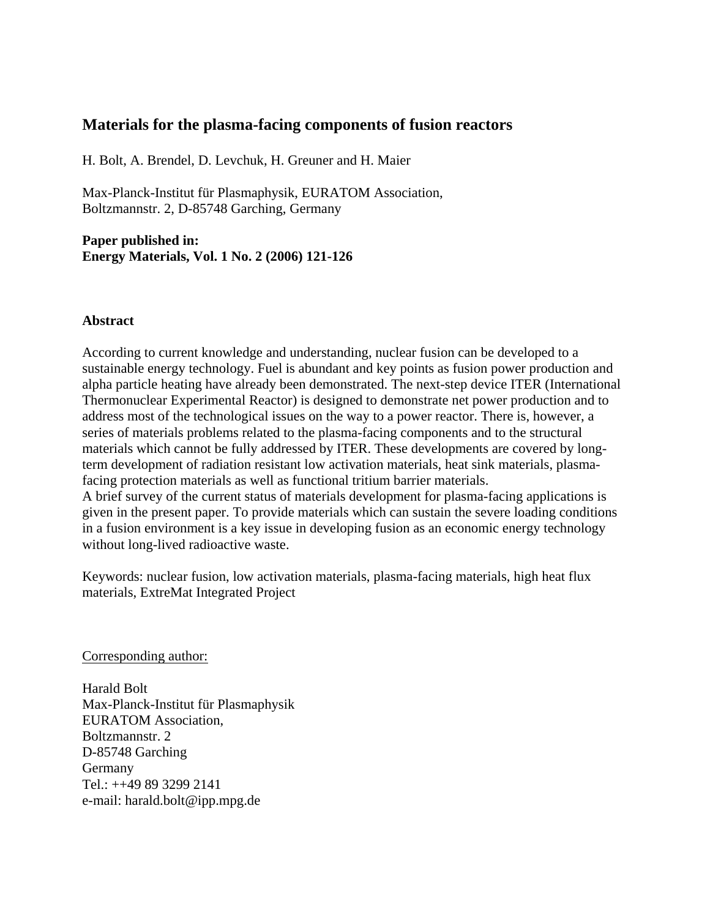# **Materials for the plasma-facing components of fusion reactors**

H. Bolt, A. Brendel, D. Levchuk, H. Greuner and H. Maier

Max-Planck-Institut für Plasmaphysik, EURATOM Association, Boltzmannstr. 2, D-85748 Garching, Germany

**Paper published in: Energy Materials, Vol. 1 No. 2 (2006) 121-126** 

### **Abstract**

According to current knowledge and understanding, nuclear fusion can be developed to a sustainable energy technology. Fuel is abundant and key points as fusion power production and alpha particle heating have already been demonstrated. The next-step device ITER (International Thermonuclear Experimental Reactor) is designed to demonstrate net power production and to address most of the technological issues on the way to a power reactor. There is, however, a series of materials problems related to the plasma-facing components and to the structural materials which cannot be fully addressed by ITER. These developments are covered by longterm development of radiation resistant low activation materials, heat sink materials, plasmafacing protection materials as well as functional tritium barrier materials. A brief survey of the current status of materials development for plasma-facing applications is given in the present paper. To provide materials which can sustain the severe loading conditions in a fusion environment is a key issue in developing fusion as an economic energy technology without long-lived radioactive waste.

Keywords: nuclear fusion, low activation materials, plasma-facing materials, high heat flux materials, ExtreMat Integrated Project

Corresponding author:

Harald Bolt Max-Planck-Institut für Plasmaphysik EURATOM Association, Boltzmannstr. 2 D-85748 Garching Germany Tel.: ++49 89 3299 2141 e-mail: harald.bolt@ipp.mpg.de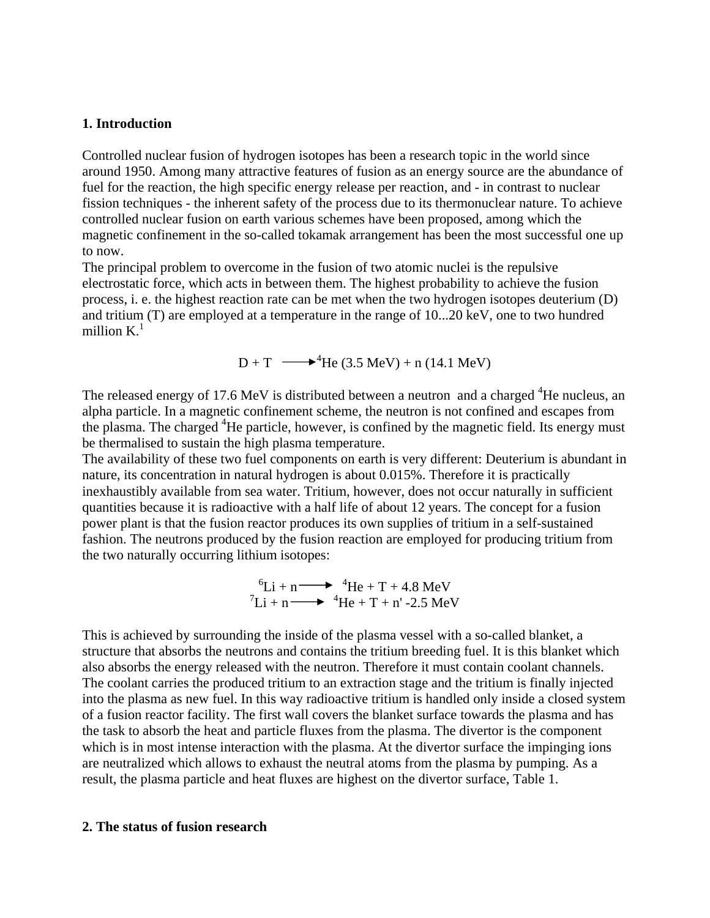### **1. Introduction**

Controlled nuclear fusion of hydrogen isotopes has been a research topic in the world since around 1950. Among many attractive features of fusion as an energy source are the abundance of fuel for the reaction, the high specific energy release per reaction, and - in contrast to nuclear fission techniques - the inherent safety of the process due to its thermonuclear nature. To achieve controlled nuclear fusion on earth various schemes have been proposed, among which the magnetic confinement in the so-called tokamak arrangement has been the most successful one up to now.

The principal problem to overcome in the fusion of two atomic nuclei is the repulsive electrostatic force, which acts in between them. The highest probability to achieve the fusion process, i. e. the highest reaction rate can be met when the two hydrogen isotopes deuterium (D) and tritium (T) are employed at a temperature in the range of 10...20 keV, one to two hundred million  $K<sup>1</sup>$ 

 $D + T$   $\longrightarrow$  <sup>4</sup>He (3.5 MeV) + n (14.1 MeV)

The released energy of 17.6 MeV is distributed between a neutron and a charged  ${}^{4}$ He nucleus, an alpha particle. In a magnetic confinement scheme, the neutron is not confined and escapes from the plasma. The charged <sup>4</sup>He particle, however, is confined by the magnetic field. Its energy must be thermalised to sustain the high plasma temperature.

The availability of these two fuel components on earth is very different: Deuterium is abundant in nature, its concentration in natural hydrogen is about 0.015%. Therefore it is practically inexhaustibly available from sea water. Tritium, however, does not occur naturally in sufficient quantities because it is radioactive with a half life of about 12 years. The concept for a fusion power plant is that the fusion reactor produces its own supplies of tritium in a self-sustained fashion. The neutrons produced by the fusion reaction are employed for producing tritium from the two naturally occurring lithium isotopes:

$$
{}^{6}\text{Li} + \text{n} \longrightarrow {}^{4}\text{He} + \text{T} + 4.8 \text{ MeV}
$$

$$
{}^{7}\text{Li} + \text{n} \longrightarrow {}^{4}\text{He} + \text{T} + \text{n}' - 2.5 \text{ MeV}
$$

This is achieved by surrounding the inside of the plasma vessel with a so-called blanket, a structure that absorbs the neutrons and contains the tritium breeding fuel. It is this blanket which also absorbs the energy released with the neutron. Therefore it must contain coolant channels. The coolant carries the produced tritium to an extraction stage and the tritium is finally injected into the plasma as new fuel. In this way radioactive tritium is handled only inside a closed system of a fusion reactor facility. The first wall covers the blanket surface towards the plasma and has the task to absorb the heat and particle fluxes from the plasma. The divertor is the component which is in most intense interaction with the plasma. At the divertor surface the impinging ions are neutralized which allows to exhaust the neutral atoms from the plasma by pumping. As a result, the plasma particle and heat fluxes are highest on the divertor surface, Table 1.

#### **2. The status of fusion research**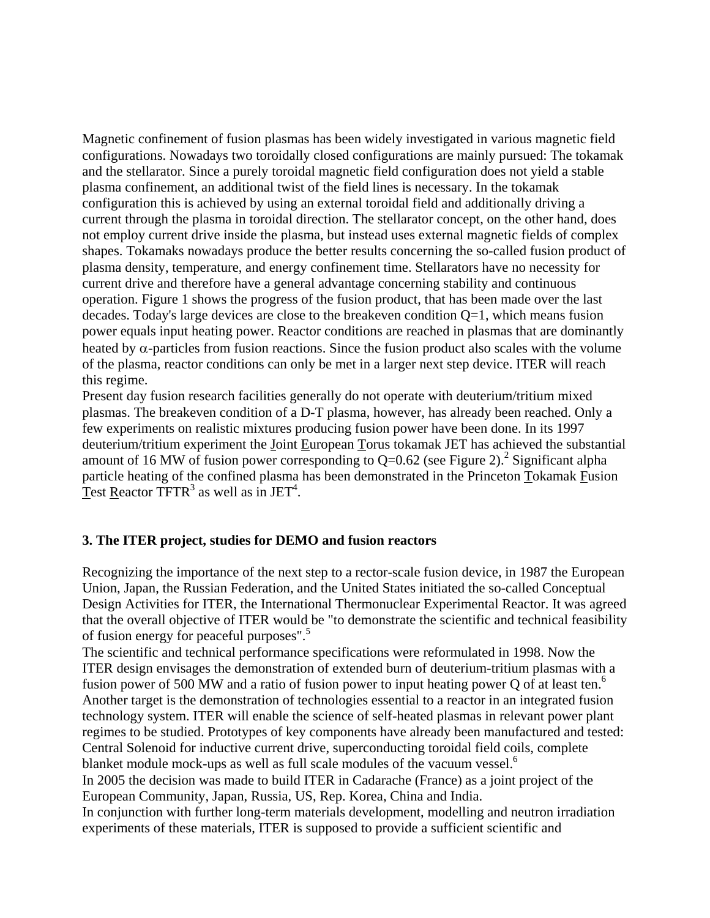Magnetic confinement of fusion plasmas has been widely investigated in various magnetic field configurations. Nowadays two toroidally closed configurations are mainly pursued: The tokamak and the stellarator. Since a purely toroidal magnetic field configuration does not yield a stable plasma confinement, an additional twist of the field lines is necessary. In the tokamak configuration this is achieved by using an external toroidal field and additionally driving a current through the plasma in toroidal direction. The stellarator concept, on the other hand, does not employ current drive inside the plasma, but instead uses external magnetic fields of complex shapes. Tokamaks nowadays produce the better results concerning the so-called fusion product of plasma density, temperature, and energy confinement time. Stellarators have no necessity for current drive and therefore have a general advantage concerning stability and continuous operation. Figure 1 shows the progress of the fusion product, that has been made over the last decades. Today's large devices are close to the breakeven condition Q=1, which means fusion power equals input heating power. Reactor conditions are reached in plasmas that are dominantly heated by  $\alpha$ -particles from fusion reactions. Since the fusion product also scales with the volume of the plasma, reactor conditions can only be met in a larger next step device. ITER will reach this regime.

Present day fusion research facilities generally do not operate with deuterium/tritium mixed plasmas. The breakeven condition of a D-T plasma, however, has already been reached. Only a few experiments on realistic mixtures producing fusion power have been done. In its 1997 deuterium/tritium experiment the Joint European Torus tokamak JET has achieved the substantial amount of 16 MW of fusion power corresponding to  $Q=0.62$  (see Figure 2).<sup>2</sup> Significant alpha particle heating of the confined plasma has been demonstrated in the Princeton Tokamak Fusion Test Reactor TFTR<sup>3</sup> as well as in JET<sup>4</sup>.

# **3. The ITER project, studies for DEMO and fusion reactors**

Recognizing the importance of the next step to a rector-scale fusion device, in 1987 the European Union, Japan, the Russian Federation, and the United States initiated the so-called Conceptual Design Activities for ITER, the International Thermonuclear Experimental Reactor. It was agreed that the overall objective of ITER would be "to demonstrate the scientific and technical feasibility of fusion energy for peaceful purposes".<sup>5</sup>

The scientific and technical performance specifications were reformulated in 1998. Now the ITER design envisages the demonstration of extended burn of deuterium-tritium plasmas with a fusion power of 500 MW and a ratio of fusion power to input heating power Q of at least ten.<sup>6</sup> Another target is the demonstration of technologies essential to a reactor in an integrated fusion technology system. ITER will enable the science of self-heated plasmas in relevant power plant regimes to be studied. Prototypes of key components have already been manufactured and tested: Central Solenoid for inductive current drive, superconducting toroidal field coils, complete blanket module mock-ups as well as full scale modules of the vacuum vessel.<sup>6</sup> In 2005 the decision was made to build ITER in Cadarache (France) as a joint project of the European Community, Japan, Russia, US, Rep. Korea, China and India. In conjunction with further long-term materials development, modelling and neutron irradiation experiments of these materials, ITER is supposed to provide a sufficient scientific and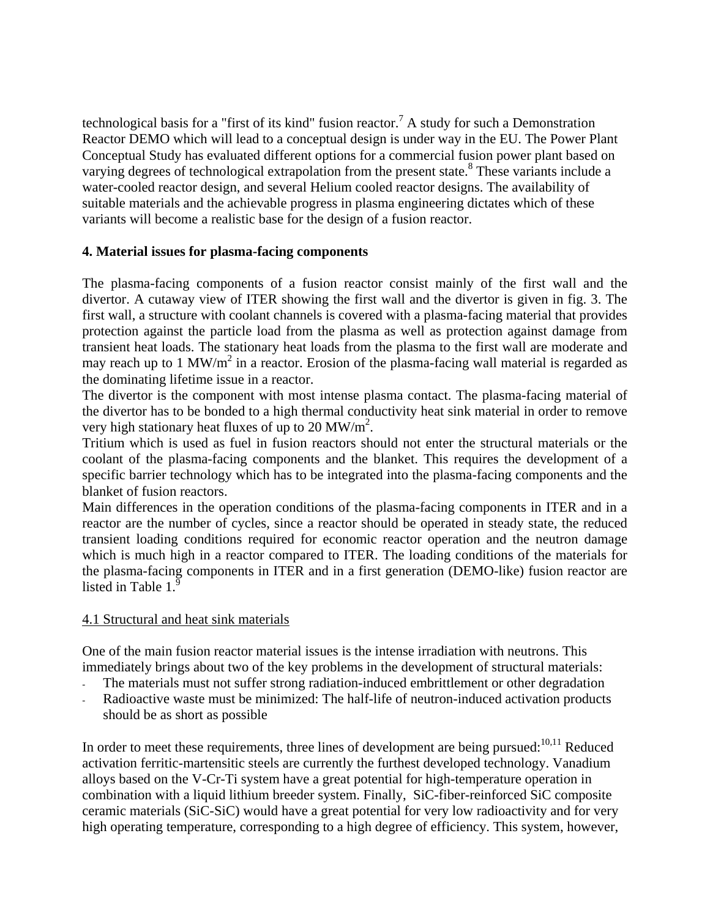technological basis for a "first of its kind" fusion reactor.<sup>7</sup> A study for such a Demonstration Reactor DEMO which will lead to a conceptual design is under way in the EU. The Power Plant Conceptual Study has evaluated different options for a commercial fusion power plant based on varying degrees of technological extrapolation from the present state.<sup>8</sup> These variants include a water-cooled reactor design, and several Helium cooled reactor designs. The availability of suitable materials and the achievable progress in plasma engineering dictates which of these variants will become a realistic base for the design of a fusion reactor.

# **4. Material issues for plasma-facing components**

The plasma-facing components of a fusion reactor consist mainly of the first wall and the divertor. A cutaway view of ITER showing the first wall and the divertor is given in fig. 3. The first wall, a structure with coolant channels is covered with a plasma-facing material that provides protection against the particle load from the plasma as well as protection against damage from transient heat loads. The stationary heat loads from the plasma to the first wall are moderate and may reach up to 1 MW/ $m^2$  in a reactor. Erosion of the plasma-facing wall material is regarded as the dominating lifetime issue in a reactor.

The divertor is the component with most intense plasma contact. The plasma-facing material of the divertor has to be bonded to a high thermal conductivity heat sink material in order to remove very high stationary heat fluxes of up to 20 MW/ $m^2$ .

Tritium which is used as fuel in fusion reactors should not enter the structural materials or the coolant of the plasma-facing components and the blanket. This requires the development of a specific barrier technology which has to be integrated into the plasma-facing components and the blanket of fusion reactors.

Main differences in the operation conditions of the plasma-facing components in ITER and in a reactor are the number of cycles, since a reactor should be operated in steady state, the reduced transient loading conditions required for economic reactor operation and the neutron damage which is much high in a reactor compared to ITER. The loading conditions of the materials for the plasma-facing components in ITER and in a first generation (DEMO-like) fusion reactor are listed in Table 1.

# 4.1 Structural and heat sink materials

One of the main fusion reactor material issues is the intense irradiation with neutrons. This immediately brings about two of the key problems in the development of structural materials:

- The materials must not suffer strong radiation-induced embrittlement or other degradation
- Radioactive waste must be minimized: The half-life of neutron-induced activation products should be as short as possible

In order to meet these requirements, three lines of development are being pursued: $10,11$  Reduced activation ferritic-martensitic steels are currently the furthest developed technology. Vanadium alloys based on the V-Cr-Ti system have a great potential for high-temperature operation in combination with a liquid lithium breeder system. Finally, SiC-fiber-reinforced SiC composite ceramic materials (SiC-SiC) would have a great potential for very low radioactivity and for very high operating temperature, corresponding to a high degree of efficiency. This system, however,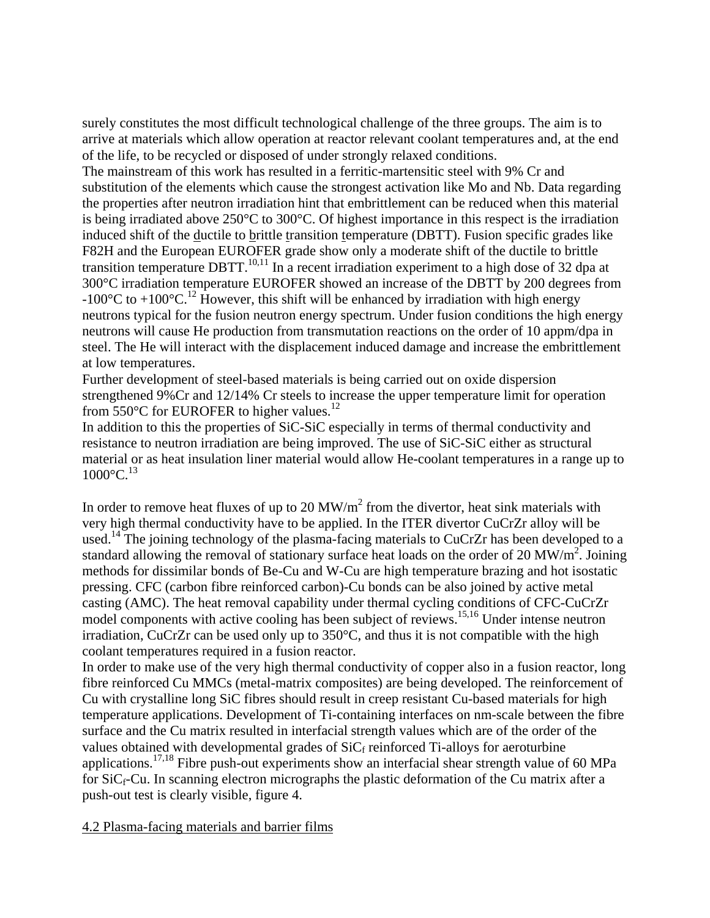surely constitutes the most difficult technological challenge of the three groups. The aim is to arrive at materials which allow operation at reactor relevant coolant temperatures and, at the end of the life, to be recycled or disposed of under strongly relaxed conditions.

The mainstream of this work has resulted in a ferritic-martensitic steel with 9% Cr and substitution of the elements which cause the strongest activation like Mo and Nb. Data regarding the properties after neutron irradiation hint that embrittlement can be reduced when this material is being irradiated above 250°C to 300°C. Of highest importance in this respect is the irradiation induced shift of the ductile to brittle transition temperature (DBTT). Fusion specific grades like F82H and the European EUROFER grade show only a moderate shift of the ductile to brittle transition temperature DBTT.<sup>10,11</sup> In a recent irradiation experiment to a high dose of 32 dpa at 300°C irradiation temperature EUROFER showed an increase of the DBTT by 200 degrees from -100 $^{\circ}$ C to +100 $^{\circ}$ C.<sup>12</sup> However, this shift will be enhanced by irradiation with high energy neutrons typical for the fusion neutron energy spectrum. Under fusion conditions the high energy neutrons will cause He production from transmutation reactions on the order of 10 appm/dpa in steel. The He will interact with the displacement induced damage and increase the embrittlement at low temperatures.

Further development of steel-based materials is being carried out on oxide dispersion strengthened 9%Cr and 12/14% Cr steels to increase the upper temperature limit for operation from 550 $\degree$ C for EUROFER to higher values.<sup>12</sup>

In addition to this the properties of SiC-SiC especially in terms of thermal conductivity and resistance to neutron irradiation are being improved. The use of SiC-SiC either as structural material or as heat insulation liner material would allow He-coolant temperatures in a range up to  $1000^{\circ}$ C.<sup>13</sup>

In order to remove heat fluxes of up to 20 MW/ $m<sup>2</sup>$  from the divertor, heat sink materials with very high thermal conductivity have to be applied. In the ITER divertor CuCrZr alloy will be used.<sup>14</sup> The joining technology of the plasma-facing materials to CuCrZr has been developed to a standard allowing the removal of stationary surface heat loads on the order of 20 MW/m<sup>2</sup>. Joining methods for dissimilar bonds of Be-Cu and W-Cu are high temperature brazing and hot isostatic pressing. CFC (carbon fibre reinforced carbon)-Cu bonds can be also joined by active metal casting (AMC). The heat removal capability under thermal cycling conditions of CFC-CuCrZr model components with active cooling has been subject of reviews.<sup>15,16</sup> Under intense neutron irradiation, CuCrZr can be used only up to 350°C, and thus it is not compatible with the high coolant temperatures required in a fusion reactor.

In order to make use of the very high thermal conductivity of copper also in a fusion reactor, long fibre reinforced Cu MMCs (metal-matrix composites) are being developed. The reinforcement of Cu with crystalline long SiC fibres should result in creep resistant Cu-based materials for high temperature applications. Development of Ti-containing interfaces on nm-scale between the fibre surface and the Cu matrix resulted in interfacial strength values which are of the order of the values obtained with developmental grades of  $\text{SiC}_f$  reinforced Ti-alloys for aeroturbine applications.17,18 Fibre push-out experiments show an interfacial shear strength value of 60 MPa for  $SiC_f$ -Cu. In scanning electron micrographs the plastic deformation of the Cu matrix after a push-out test is clearly visible, figure 4.

# 4.2 Plasma-facing materials and barrier films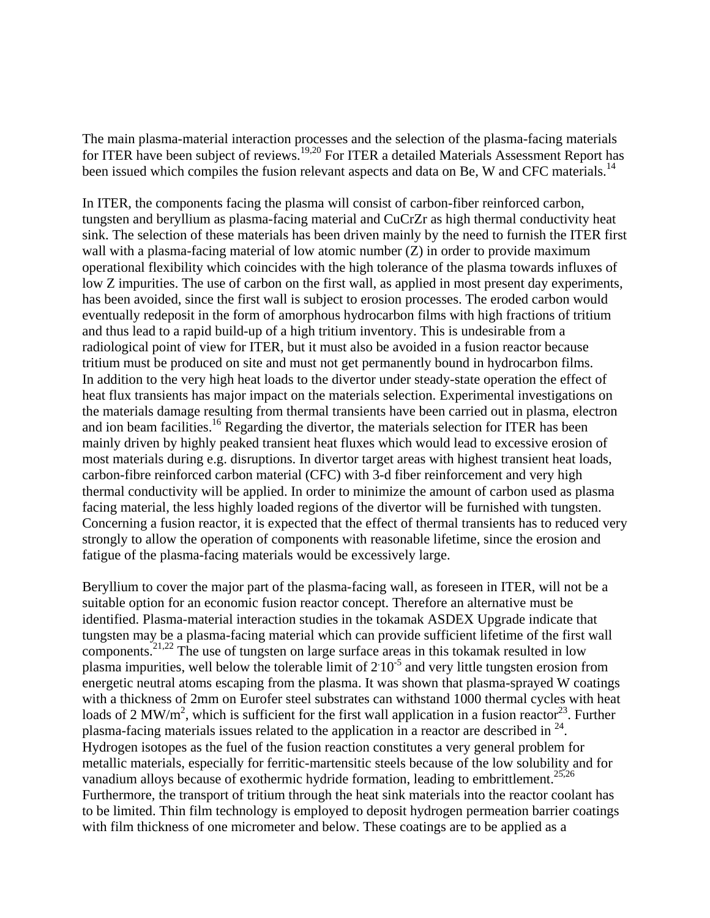The main plasma-material interaction processes and the selection of the plasma-facing materials for ITER have been subject of reviews.<sup>19,20</sup> For ITER a detailed Materials Assessment Report has been issued which compiles the fusion relevant aspects and data on Be, W and CFC materials.<sup>14</sup>

In ITER, the components facing the plasma will consist of carbon-fiber reinforced carbon, tungsten and beryllium as plasma-facing material and CuCrZr as high thermal conductivity heat sink. The selection of these materials has been driven mainly by the need to furnish the ITER first wall with a plasma-facing material of low atomic number (Z) in order to provide maximum operational flexibility which coincides with the high tolerance of the plasma towards influxes of low Z impurities. The use of carbon on the first wall, as applied in most present day experiments, has been avoided, since the first wall is subject to erosion processes. The eroded carbon would eventually redeposit in the form of amorphous hydrocarbon films with high fractions of tritium and thus lead to a rapid build-up of a high tritium inventory. This is undesirable from a radiological point of view for ITER, but it must also be avoided in a fusion reactor because tritium must be produced on site and must not get permanently bound in hydrocarbon films. In addition to the very high heat loads to the divertor under steady-state operation the effect of heat flux transients has major impact on the materials selection. Experimental investigations on the materials damage resulting from thermal transients have been carried out in plasma, electron and ion beam facilities.<sup>16</sup> Regarding the divertor, the materials selection for ITER has been mainly driven by highly peaked transient heat fluxes which would lead to excessive erosion of most materials during e.g. disruptions. In divertor target areas with highest transient heat loads, carbon-fibre reinforced carbon material (CFC) with 3-d fiber reinforcement and very high thermal conductivity will be applied. In order to minimize the amount of carbon used as plasma facing material, the less highly loaded regions of the divertor will be furnished with tungsten. Concerning a fusion reactor, it is expected that the effect of thermal transients has to reduced very strongly to allow the operation of components with reasonable lifetime, since the erosion and fatigue of the plasma-facing materials would be excessively large.

Beryllium to cover the major part of the plasma-facing wall, as foreseen in ITER, will not be a suitable option for an economic fusion reactor concept. Therefore an alternative must be identified. Plasma-material interaction studies in the tokamak ASDEX Upgrade indicate that tungsten may be a plasma-facing material which can provide sufficient lifetime of the first wall components.21,22 The use of tungsten on large surface areas in this tokamak resulted in low plasma impurities, well below the tolerable limit of  $2.10^{-5}$  and very little tungsten erosion from energetic neutral atoms escaping from the plasma. It was shown that plasma-sprayed W coatings with a thickness of 2mm on Eurofer steel substrates can withstand 1000 thermal cycles with heat loads of 2 MW/m<sup>2</sup>, which is sufficient for the first wall application in a fusion reactor<sup>23</sup>. Further plasma-facing materials issues related to the application in a reactor are described in  $^{24}$ . Hydrogen isotopes as the fuel of the fusion reaction constitutes a very general problem for metallic materials, especially for ferritic-martensitic steels because of the low solubility and for vanadium alloys because of exothermic hydride formation, leading to embrittlement.<sup>25,26</sup> Furthermore, the transport of tritium through the heat sink materials into the reactor coolant has to be limited. Thin film technology is employed to deposit hydrogen permeation barrier coatings with film thickness of one micrometer and below. These coatings are to be applied as a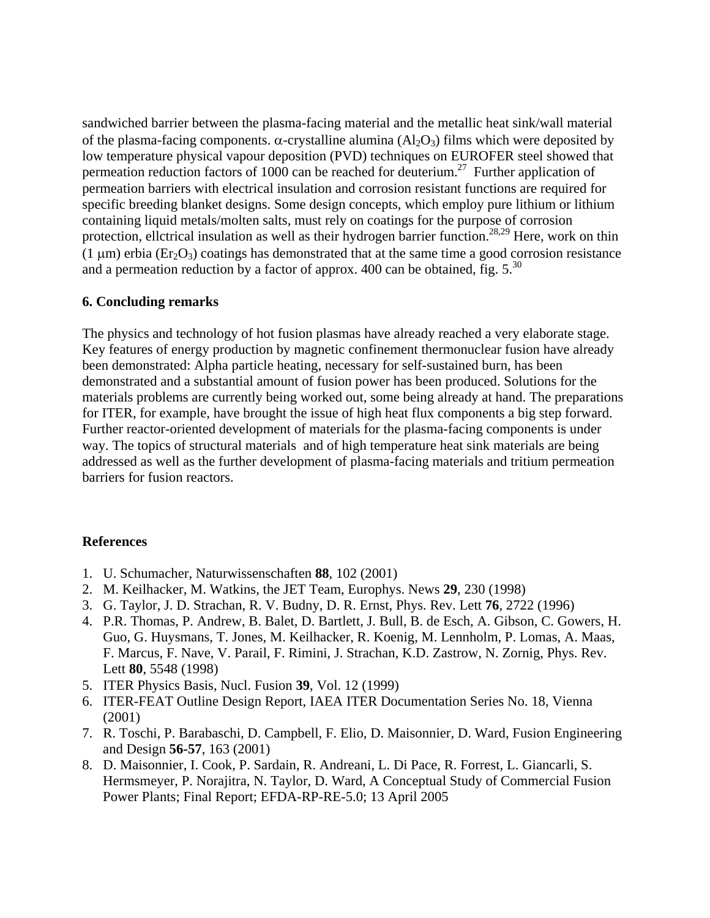sandwiched barrier between the plasma-facing material and the metallic heat sink/wall material of the plasma-facing components. α-crystalline alumina  $(A<sub>2</sub>O<sub>3</sub>)$  films which were deposited by low temperature physical vapour deposition (PVD) techniques on EUROFER steel showed that permeation reduction factors of 1000 can be reached for deuterium.<sup>27</sup> Further application of permeation barriers with electrical insulation and corrosion resistant functions are required for specific breeding blanket designs. Some design concepts, which employ pure lithium or lithium containing liquid metals/molten salts, must rely on coatings for the purpose of corrosion protection, ellctrical insulation as well as their hydrogen barrier function.<sup>28,29</sup> Here, work on thin (1  $\mu$ m) erbia (Er<sub>2</sub>O<sub>3</sub>) coatings has demonstrated that at the same time a good corrosion resistance and a permeation reduction by a factor of approx. 400 can be obtained, fig.  $5^{30}$ 

## **6. Concluding remarks**

The physics and technology of hot fusion plasmas have already reached a very elaborate stage. Key features of energy production by magnetic confinement thermonuclear fusion have already been demonstrated: Alpha particle heating, necessary for self-sustained burn, has been demonstrated and a substantial amount of fusion power has been produced. Solutions for the materials problems are currently being worked out, some being already at hand. The preparations for ITER, for example, have brought the issue of high heat flux components a big step forward. Further reactor-oriented development of materials for the plasma-facing components is under way. The topics of structural materials and of high temperature heat sink materials are being addressed as well as the further development of plasma-facing materials and tritium permeation barriers for fusion reactors.

# **References**

- 1. U. Schumacher, Naturwissenschaften **88**, 102 (2001)
- 2. M. Keilhacker, M. Watkins, the JET Team, Europhys. News **29**, 230 (1998)
- 3. G. Taylor, J. D. Strachan, R. V. Budny, D. R. Ernst, Phys. Rev. Lett **76**, 2722 (1996)
- 4. P.R. Thomas, P. Andrew, B. Balet, D. Bartlett, J. Bull, B. de Esch, A. Gibson, C. Gowers, H. Guo, G. Huysmans, T. Jones, M. Keilhacker, R. Koenig, M. Lennholm, P. Lomas, A. Maas, F. Marcus, F. Nave, V. Parail, F. Rimini, J. Strachan, K.D. Zastrow, N. Zornig, Phys. Rev. Lett **80**, 5548 (1998)
- 5. ITER Physics Basis, Nucl. Fusion **39**, Vol. 12 (1999)
- 6. ITER-FEAT Outline Design Report, IAEA ITER Documentation Series No. 18, Vienna (2001)
- 7. R. Toschi, P. Barabaschi, D. Campbell, F. Elio, D. Maisonnier, D. Ward, Fusion Engineering and Design **56-57**, 163 (2001)
- 8. D. Maisonnier, I. Cook, P. Sardain, R. Andreani, L. Di Pace, R. Forrest, L. Giancarli, S. Hermsmeyer, P. Norajitra, N. Taylor, D. Ward, A Conceptual Study of Commercial Fusion Power Plants; Final Report; EFDA-RP-RE-5.0; 13 April 2005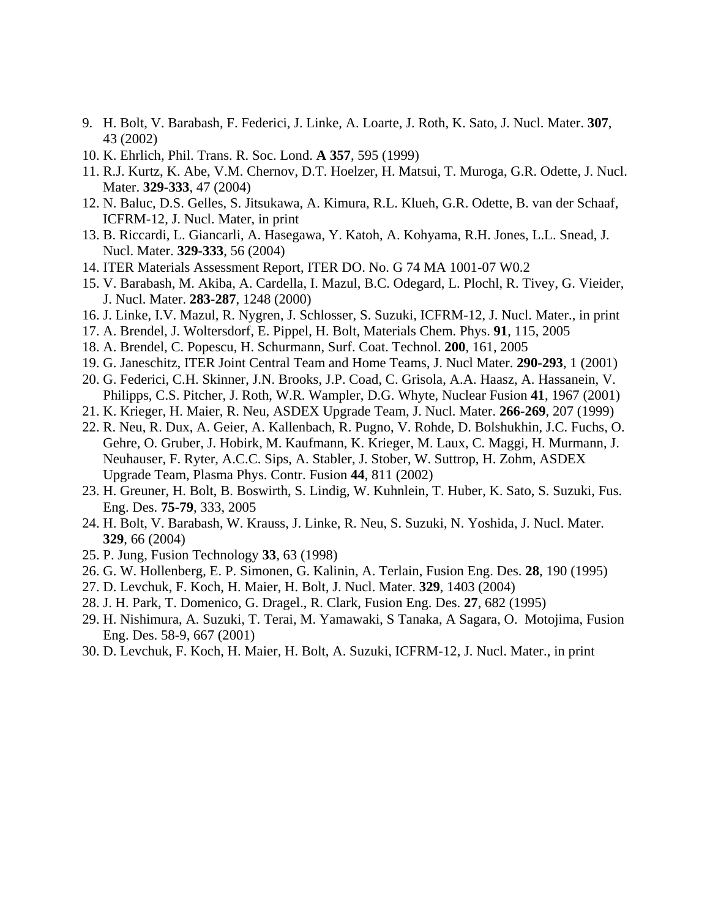- 9. H. Bolt, V. Barabash, F. Federici, J. Linke, A. Loarte, J. Roth, K. Sato, J. Nucl. Mater. **307**, 43 (2002)
- 10. K. Ehrlich, Phil. Trans. R. Soc. Lond. **A 357**, 595 (1999)
- 11. R.J. Kurtz, K. Abe, V.M. Chernov, D.T. Hoelzer, H. Matsui, T. Muroga, G.R. Odette, J. Nucl. Mater. **329-333**, 47 (2004)
- 12. N. Baluc, D.S. Gelles, S. Jitsukawa, A. Kimura, R.L. Klueh, G.R. Odette, B. van der Schaaf, ICFRM-12, J. Nucl. Mater, in print
- 13. B. Riccardi, L. Giancarli, A. Hasegawa, Y. Katoh, A. Kohyama, R.H. Jones, L.L. Snead, J. Nucl. Mater. **329-333**, 56 (2004)
- 14. ITER Materials Assessment Report, ITER DO. No. G 74 MA 1001-07 W0.2
- 15. V. Barabash, M. Akiba, A. Cardella, I. Mazul, B.C. Odegard, L. Plochl, R. Tivey, G. Vieider, J. Nucl. Mater. **283-287**, 1248 (2000)
- 16. J. Linke, I.V. Mazul, R. Nygren, J. Schlosser, S. Suzuki, ICFRM-12, J. Nucl. Mater., in print
- 17. A. Brendel, J. Woltersdorf, E. Pippel, H. Bolt, Materials Chem. Phys. **91**, 115, 2005
- 18. A. Brendel, C. Popescu, H. Schurmann, Surf. Coat. Technol. **200**, 161, 2005
- 19. G. Janeschitz, ITER Joint Central Team and Home Teams, J. Nucl Mater. **290-293**, 1 (2001)
- 20. G. Federici, C.H. Skinner, J.N. Brooks, J.P. Coad, C. Grisola, A.A. Haasz, A. Hassanein, V. Philipps, C.S. Pitcher, J. Roth, W.R. Wampler, D.G. Whyte, Nuclear Fusion **41**, 1967 (2001)
- 21. K. Krieger, H. Maier, R. Neu, ASDEX Upgrade Team, J. Nucl. Mater. **266-269**, 207 (1999)
- 22. R. Neu, R. Dux, A. Geier, A. Kallenbach, R. Pugno, V. Rohde, D. Bolshukhin, J.C. Fuchs, O. Gehre, O. Gruber, J. Hobirk, M. Kaufmann, K. Krieger, M. Laux, C. Maggi, H. Murmann, J. Neuhauser, F. Ryter, A.C.C. Sips, A. Stabler, J. Stober, W. Suttrop, H. Zohm, ASDEX Upgrade Team, Plasma Phys. Contr. Fusion **44**, 811 (2002)
- 23. H. Greuner, H. Bolt, B. Boswirth, S. Lindig, W. Kuhnlein, T. Huber, K. Sato, S. Suzuki, Fus. Eng. Des. **75-79**, 333, 2005
- 24. H. Bolt, V. Barabash, W. Krauss, J. Linke, R. Neu, S. Suzuki, N. Yoshida, J. Nucl. Mater. **329**, 66 (2004)
- 25. P. Jung, Fusion Technology **33**, 63 (1998)
- 26. G. W. Hollenberg, E. P. Simonen, G. Kalinin, A. Terlain, Fusion Eng. Des. **28**, 190 (1995)
- 27. D. Levchuk, F. Koch, H. Maier, H. Bolt, J. Nucl. Mater. **329**, 1403 (2004)
- 28. J. H. Park, T. Domenico, G. Dragel., R. Clark, Fusion Eng. Des. **27**, 682 (1995)
- 29. H. Nishimura, A. Suzuki, T. Terai, M. Yamawaki, S Tanaka, A Sagara, O. Motojima, Fusion Eng. Des. 58-9, 667 (2001)
- 30. D. Levchuk, F. Koch, H. Maier, H. Bolt, A. Suzuki, ICFRM-12, J. Nucl. Mater., in print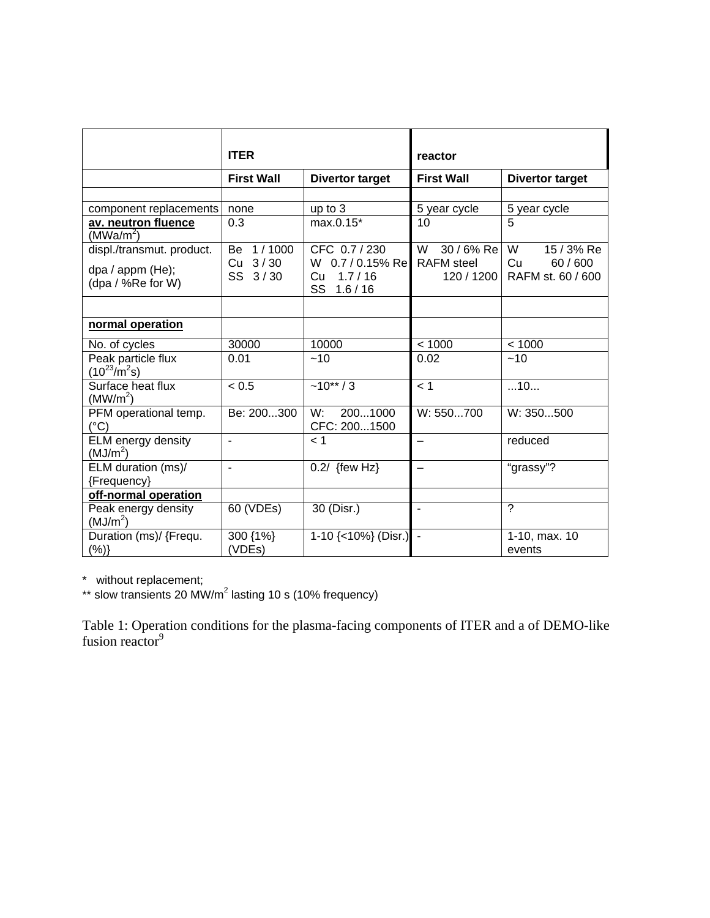|                                                                                                                                              | <b>ITER</b>                                          |                                                                                           | reactor                                                                  |                                                                           |
|----------------------------------------------------------------------------------------------------------------------------------------------|------------------------------------------------------|-------------------------------------------------------------------------------------------|--------------------------------------------------------------------------|---------------------------------------------------------------------------|
|                                                                                                                                              | <b>First Wall</b>                                    | <b>Divertor target</b>                                                                    | <b>First Wall</b>                                                        | <b>Divertor target</b>                                                    |
| component replacements<br>av. neutron fluence<br>(MWa/m <sup>2</sup> )<br>displ./transmut. product.<br>dpa / appm (He);<br>(dpa / %Re for W) | none<br>0.3<br>1/1000<br>Be<br>3/30<br>Cu<br>SS 3/30 | up to 3<br>max.0.15*<br>CFC 0.7 / 230<br>W 0.7 / 0.15% Re<br>1.7/16<br>Cu<br>SS<br>1.6/16 | 5 year cycle<br>10<br>30 / 6% Re<br>W<br><b>RAFM</b> steel<br>120 / 1200 | 5 year cycle<br>5<br>$15/3%$ Re<br>W<br>Cu<br>60/600<br>RAFM st. 60 / 600 |
| normal operation                                                                                                                             |                                                      |                                                                                           |                                                                          |                                                                           |
| No. of cycles                                                                                                                                | 30000                                                | 10000                                                                                     | < 1000                                                                   | < 1000                                                                    |
| Peak particle flux<br>$(10^{23}/m^2s)$                                                                                                       | 0.01                                                 | ~10                                                                                       | 0.02                                                                     | ~10                                                                       |
| Surface heat flux<br>(MW/m <sup>2</sup> )                                                                                                    | < 0.5                                                | $-10**/3$                                                                                 | < 1                                                                      | 10                                                                        |
| PFM operational temp.<br>$(^{\circ}C)$                                                                                                       | Be: 200300                                           | 2001000<br>W:<br>CFC: 2001500                                                             | W: 550700                                                                | W: 350500                                                                 |
| ELM energy density<br>(MJ/m <sup>2</sup> )                                                                                                   | ÷,                                                   | 1 >                                                                                       |                                                                          | reduced                                                                   |
| ELM duration (ms)/<br>{Frequency}                                                                                                            | $\blacksquare$                                       | $0.2/$ {few Hz}                                                                           |                                                                          | "grassy"?                                                                 |
| off-normal operation                                                                                                                         |                                                      |                                                                                           |                                                                          |                                                                           |
| Peak energy density<br>(MJ/m <sup>2</sup> )                                                                                                  | 60 (VDEs)                                            | 30 (Disr.)                                                                                | $\blacksquare$                                                           | ?                                                                         |
| Duration (ms)/ {Frequ.<br>(%)                                                                                                                | 300 {1%}<br>(VDEs)                                   | $1-10$ {<10%} (Disr.) -                                                                   |                                                                          | 1-10, max. 10<br>events                                                   |

\* without replacement;

\*\* slow transients 20 MW/m<sup>2</sup> lasting 10 s (10% frequency)

Table 1: Operation conditions for the plasma-facing components of ITER and a of DEMO-like fusion reactor<sup>9</sup>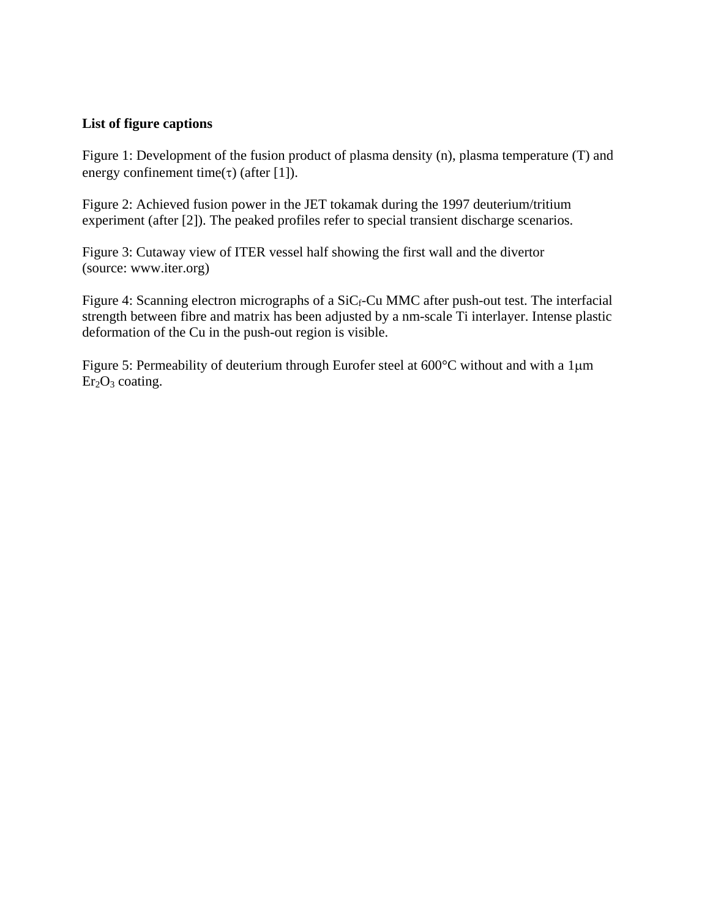# **List of figure captions**

Figure 1: Development of the fusion product of plasma density (n), plasma temperature (T) and energy confinement time(τ) (after [1]).

Figure 2: Achieved fusion power in the JET tokamak during the 1997 deuterium/tritium experiment (after [2]). The peaked profiles refer to special transient discharge scenarios.

Figure 3: Cutaway view of ITER vessel half showing the first wall and the divertor (source: www.iter.org)

Figure 4: Scanning electron micrographs of a  $SiC_f$ -Cu MMC after push-out test. The interfacial strength between fibre and matrix has been adjusted by a nm-scale Ti interlayer. Intense plastic deformation of the Cu in the push-out region is visible.

Figure 5: Permeability of deuterium through Eurofer steel at 600°C without and with a 1μm  $Er<sub>2</sub>O<sub>3</sub> coating.$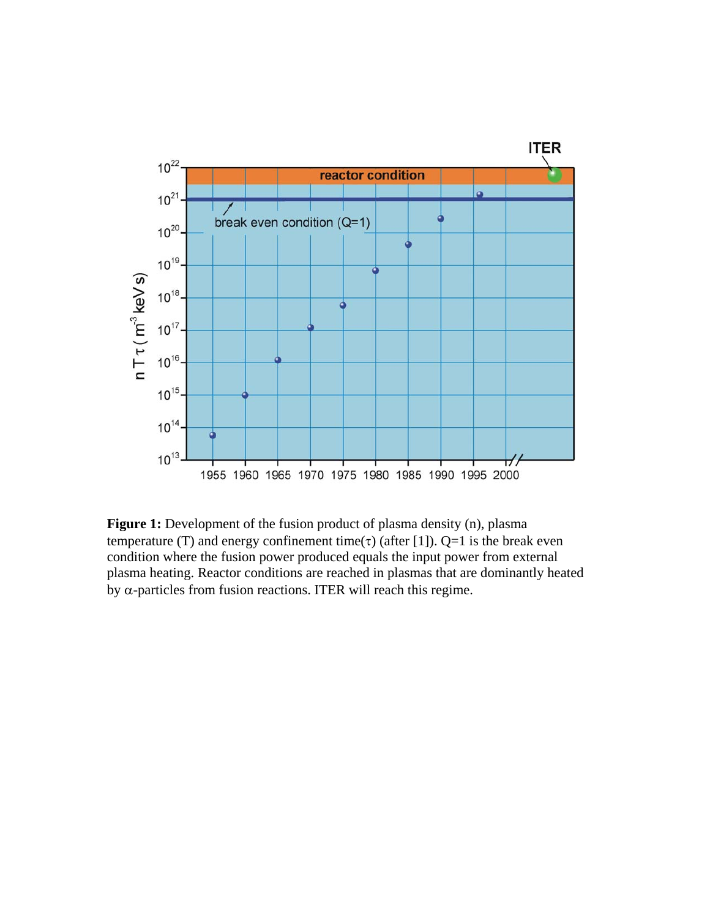

**Figure 1:** Development of the fusion product of plasma density (n), plasma temperature (T) and energy confinement time(τ) (after [1]). Q=1 is the break even condition where the fusion power produced equals the input power from external plasma heating. Reactor conditions are reached in plasmas that are dominantly heated by  $\alpha$ -particles from fusion reactions. ITER will reach this regime.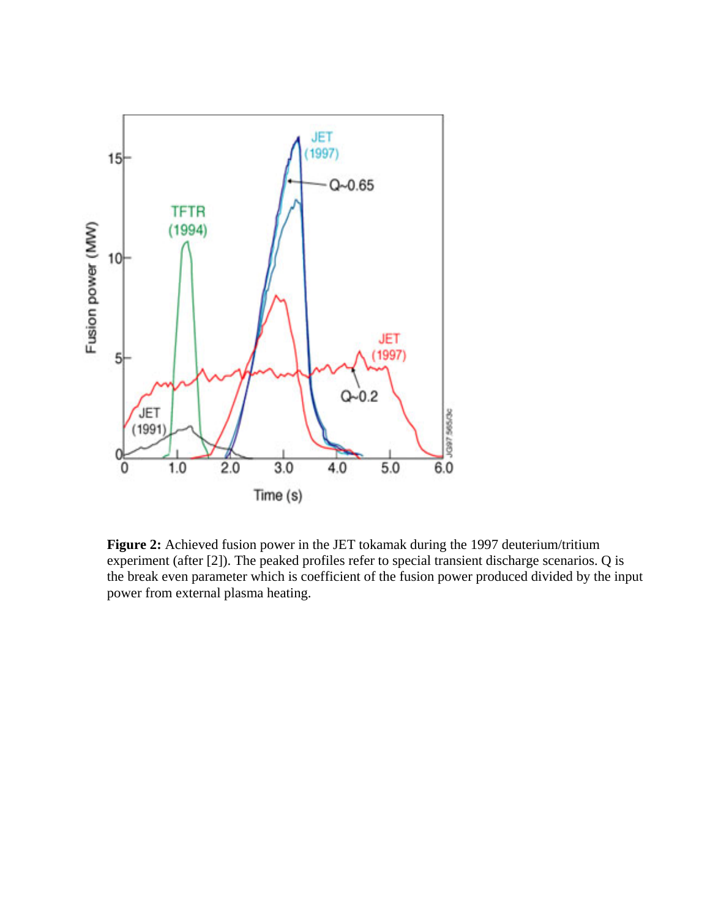

**Figure 2:** Achieved fusion power in the JET tokamak during the 1997 deuterium/tritium experiment (after [2]). The peaked profiles refer to special transient discharge scenarios. Q is the break even parameter which is coefficient of the fusion power produced divided by the input power from external plasma heating.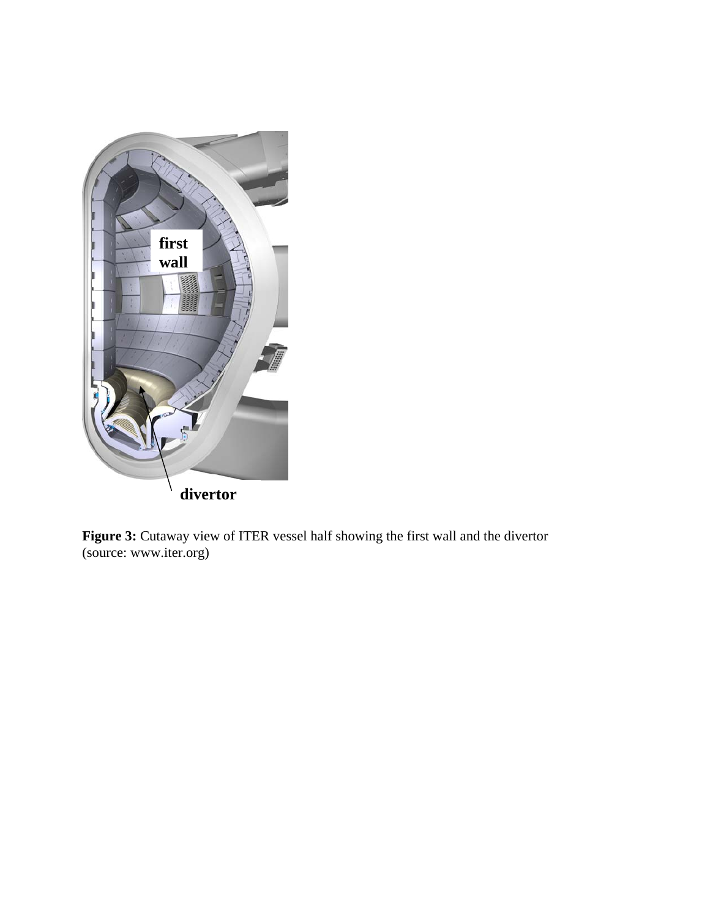

**Figure 3:** Cutaway view of ITER vessel half showing the first wall and the divertor (source: www.iter.org)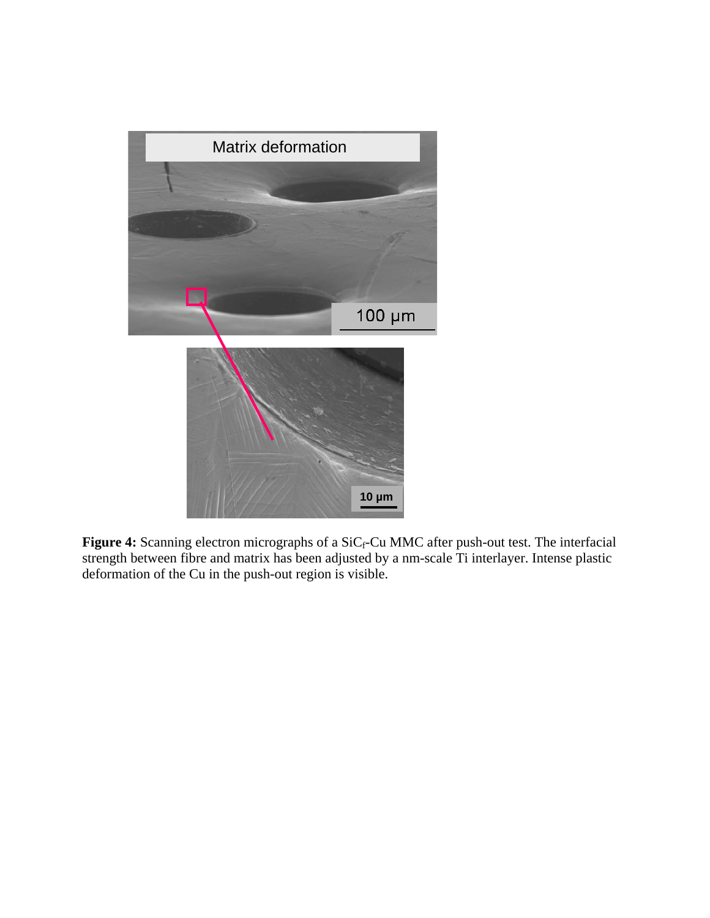

Figure 4: Scanning electron micrographs of a SiC<sub>f</sub>-Cu MMC after push-out test. The interfacial strength between fibre and matrix has been adjusted by a nm-scale Ti interlayer. Intense plastic deformation of the Cu in the push-out region is visible.